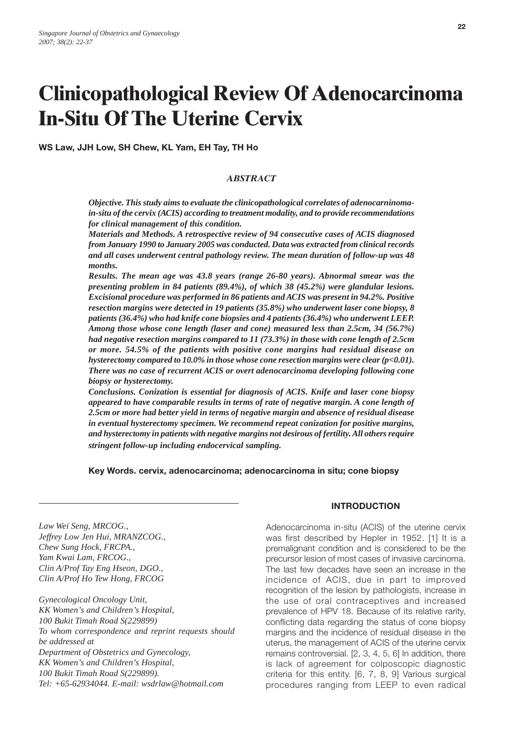# **Clinicopathological Review Of Adenocarcinoma In-Situ Of The Uterine Cervix**

**WS Law, JJH Low, SH Chew, KL Yam, EH Tay, TH Ho**

# *ABSTRACT*

*Objective. This study aims to evaluate the clinicopathological correlates of adenocarninomain-situ of the cervix (ACIS) according to treatment modality, and to provide recommendations for clinical management of this condition.*

*Materials and Methods. A retrospective review of 94 consecutive cases of ACIS diagnosed from January 1990 to January 2005 was conducted. Data was extracted from clinical records and all cases underwent central pathology review. The mean duration of follow-up was 48 months.*

*Results. The mean age was 43.8 years (range 26-80 years). Abnormal smear was the presenting problem in 84 patients (89.4%), of which 38 (45.2%) were glandular lesions. Excisional procedure was performed in 86 patients and ACIS was present in 94.2%. Positive resection margins were detected in 19 patients (35.8%) who underwent laser cone biopsy, 8 patients (36.4%) who had knife cone biopsies and 4 patients (36.4%) who underwent LEEP. Among those whose cone length (laser and cone) measured less than 2.5cm, 34 (56.7%) had negative resection margins compared to 11 (73.3%) in those with cone length of 2.5cm or more. 54.5% of the patients with positive cone margins had residual disease on hysterectomy compared to 10.0% in those whose cone resection margins were clear (p<0.01). There was no case of recurrent ACIS or overt adenocarcinoma developing following cone biopsy or hysterectomy.*

*Conclusions. Conization is essential for diagnosis of ACIS. Knife and laser cone biopsy appeared to have comparable results in terms of rate of negative margin. A cone length of 2.5cm or more had better yield in terms of negative margin and absence of residual disease in eventual hysterectomy specimen. We recommend repeat conization for positive margins, and hysterectomy in patients with negative margins not desirous of fertility. All others require stringent follow-up including endocervical sampling.*

#### **Key Words. cervix, adenocarcinoma; adenocarcinoma in situ; cone biopsy**

*Law Wei Seng, MRCOG., Jeffrey Low Jen Hui, MRANZCOG., Chew Sung Hock, FRCPA., Yam Kwai Lam, FRCOG., Clin A/Prof Tay Eng Hseon, DGO., Clin A/Prof Ho Tew Hong, FRCOG*

*Gynecological Oncology Unit, KK Women's and Children's Hospital, 100 Bukit Timah Road S(229899) To whom correspondence and reprint requests should be addressed at Department of Obstetrics and Gynecology, KK Women's and Children's Hospital, 100 Bukit Timah Road S(229899). Tel: +65-62934044. E-mail: wsdrlaw@hotmail.com*

#### **INTRODUCTION**

Adenocarcinoma in-situ (ACIS) of the uterine cervix was first described by Hepler in 1952. [1] It is a premalignant condition and is considered to be the precursor lesion of most cases of invasive carcinoma. The last few decades have seen an increase in the incidence of ACIS, due in part to improved recognition of the lesion by pathologists, increase in the use of oral contraceptives and increased prevalence of HPV 18. Because of its relative rarity, conflicting data regarding the status of cone biopsy margins and the incidence of residual disease in the uterus, the management of ACIS of the uterine cervix remains controversial. [2, 3, 4, 5, 6] In addition, there is lack of agreement for colposcopic diagnostic criteria for this entity. [6, 7, 8, 9] Various surgical procedures ranging from LEEP to even radical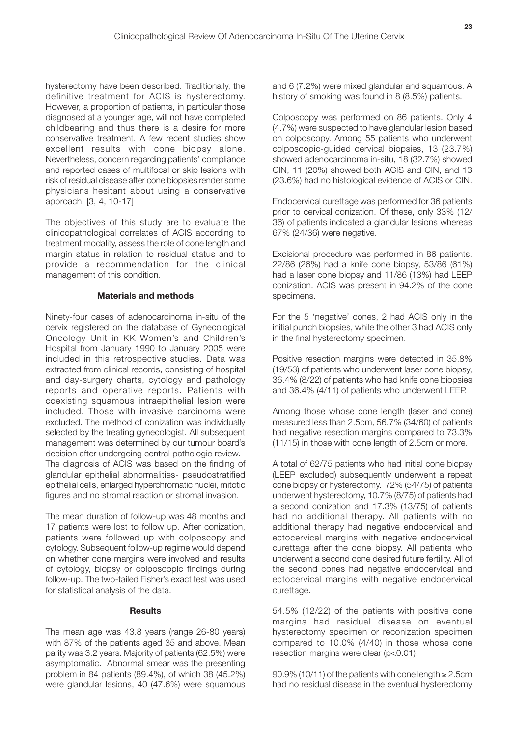hysterectomy have been described. Traditionally, the definitive treatment for ACIS is hysterectomy. However, a proportion of patients, in particular those diagnosed at a younger age, will not have completed childbearing and thus there is a desire for more conservative treatment. A few recent studies show excellent results with cone biopsy alone. Nevertheless, concern regarding patients' compliance and reported cases of multifocal or skip lesions with risk of residual disease after cone biopsies render some physicians hesitant about using a conservative approach. [3, 4, 10-17]

The objectives of this study are to evaluate the clinicopathological correlates of ACIS according to treatment modality, assess the role of cone length and margin status in relation to residual status and to provide a recommendation for the clinical management of this condition.

#### **Materials and methods**

Ninety-four cases of adenocarcinoma in-situ of the cervix registered on the database of Gynecological Oncology Unit in KK Women's and Children's Hospital from January 1990 to January 2005 were included in this retrospective studies. Data was extracted from clinical records, consisting of hospital and day-surgery charts, cytology and pathology reports and operative reports. Patients with coexisting squamous intraepithelial lesion were included. Those with invasive carcinoma were excluded. The method of conization was individually selected by the treating gynecologist. All subsequent management was determined by our tumour board's decision after undergoing central pathologic review. The diagnosis of ACIS was based on the finding of glandular epithelial abnormalities- pseudostratified epithelial cells, enlarged hyperchromatic nuclei, mitotic figures and no stromal reaction or stromal invasion.

The mean duration of follow-up was 48 months and 17 patients were lost to follow up. After conization, patients were followed up with colposcopy and cytology. Subsequent follow-up regime would depend on whether cone margins were involved and results of cytology, biopsy or colposcopic findings during follow-up. The two-tailed Fisher's exact test was used for statistical analysis of the data.

#### **Results**

The mean age was 43.8 years (range 26-80 years) with 87% of the patients aged 35 and above. Mean parity was 3.2 years. Majority of patients (62.5%) were asymptomatic. Abnormal smear was the presenting problem in 84 patients (89.4%), of which 38 (45.2%) were glandular lesions, 40 (47.6%) were squamous

and 6 (7.2%) were mixed glandular and squamous. A history of smoking was found in 8 (8.5%) patients.

Colposcopy was performed on 86 patients. Only 4 (4.7%) were suspected to have glandular lesion based on colposcopy. Among 55 patients who underwent colposcopic-guided cervical biopsies, 13 (23.7%) showed adenocarcinoma in-situ, 18 (32.7%) showed CIN, 11 (20%) showed both ACIS and CIN, and 13 (23.6%) had no histological evidence of ACIS or CIN.

Endocervical curettage was performed for 36 patients prior to cervical conization. Of these, only 33% (12/ 36) of patients indicated a glandular lesions whereas 67% (24/36) were negative.

Excisional procedure was performed in 86 patients. 22/86 (26%) had a knife cone biopsy, 53/86 (61%) had a laser cone biopsy and 11/86 (13%) had LEEP conization. ACIS was present in 94.2% of the cone specimens.

For the 5 'negative' cones, 2 had ACIS only in the initial punch biopsies, while the other 3 had ACIS only in the final hysterectomy specimen.

Positive resection margins were detected in 35.8% (19/53) of patients who underwent laser cone biopsy, 36.4% (8/22) of patients who had knife cone biopsies and 36.4% (4/11) of patients who underwent LEEP.

Among those whose cone length (laser and cone) measured less than 2.5cm, 56.7% (34/60) of patients had negative resection margins compared to 73.3% (11/15) in those with cone length of 2.5cm or more.

A total of 62/75 patients who had initial cone biopsy (LEEP excluded) subsequently underwent a repeat cone biopsy or hysterectomy. 72% (54/75) of patients underwent hysterectomy, 10.7% (8/75) of patients had a second conization and 17.3% (13/75) of patients had no additional therapy. All patients with no additional therapy had negative endocervical and ectocervical margins with negative endocervical curettage after the cone biopsy. All patients who underwent a second cone desired future fertility. All of the second cones had negative endocervical and ectocervical margins with negative endocervical curettage.

54.5% (12/22) of the patients with positive cone margins had residual disease on eventual hysterectomy specimen or reconization specimen compared to 10.0% (4/40) in those whose cone resection margins were clear (p<0.01).

90.9% (10/11) of the patients with cone length <sup>≥</sup> 2.5cm had no residual disease in the eventual hysterectomy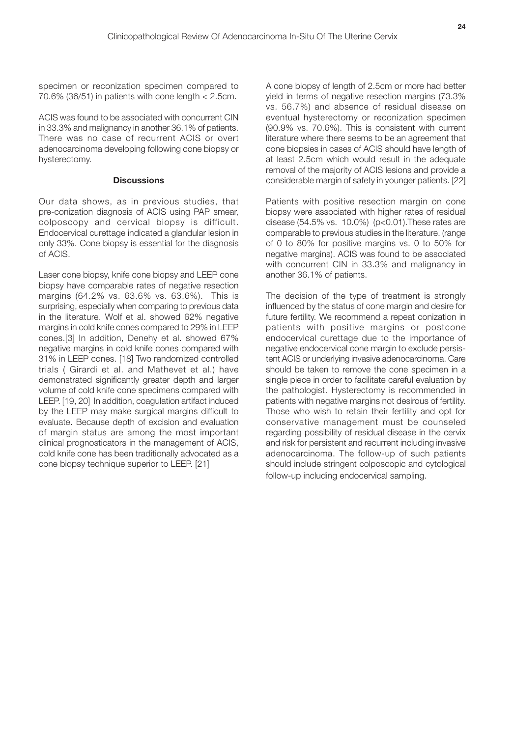specimen or reconization specimen compared to 70.6% (36/51) in patients with cone length < 2.5cm.

ACIS was found to be associated with concurrent CIN in 33.3% and malignancy in another 36.1% of patients. There was no case of recurrent ACIS or overt adenocarcinoma developing following cone biopsy or hysterectomy.

#### **Discussions**

Our data shows, as in previous studies, that pre-conization diagnosis of ACIS using PAP smear, colposcopy and cervical biopsy is difficult. Endocervical curettage indicated a glandular lesion in only 33%. Cone biopsy is essential for the diagnosis of ACIS.

Laser cone biopsy, knife cone biopsy and LEEP cone biopsy have comparable rates of negative resection margins (64.2% vs. 63.6% vs. 63.6%). This is surprising, especially when comparing to previous data in the literature. Wolf et al. showed 62% negative margins in cold knife cones compared to 29% in LEEP cones.[3] In addition, Denehy et al. showed 67% negative margins in cold knife cones compared with 31% in LEEP cones. [18] Two randomized controlled trials ( Girardi et al. and Mathevet et al.) have demonstrated significantly greater depth and larger volume of cold knife cone specimens compared with LEEP. [19, 20] In addition, coagulation artifact induced by the LEEP may make surgical margins difficult to evaluate. Because depth of excision and evaluation of margin status are among the most important clinical prognosticators in the management of ACIS, cold knife cone has been traditionally advocated as a cone biopsy technique superior to LEEP. [21]

A cone biopsy of length of 2.5cm or more had better yield in terms of negative resection margins (73.3% vs. 56.7%) and absence of residual disease on eventual hysterectomy or reconization specimen (90.9% vs. 70.6%). This is consistent with current literature where there seems to be an agreement that cone biopsies in cases of ACIS should have length of at least 2.5cm which would result in the adequate removal of the majority of ACIS lesions and provide a considerable margin of safety in younger patients. [22]

Patients with positive resection margin on cone biopsy were associated with higher rates of residual disease (54.5% vs. 10.0%) (p<0.01).These rates are comparable to previous studies in the literature. (range of 0 to 80% for positive margins vs. 0 to 50% for negative margins). ACIS was found to be associated with concurrent CIN in 33.3% and malignancy in another 36.1% of patients.

The decision of the type of treatment is strongly influenced by the status of cone margin and desire for future fertility. We recommend a repeat conization in patients with positive margins or postcone endocervical curettage due to the importance of negative endocervical cone margin to exclude persistent ACIS or underlying invasive adenocarcinoma. Care should be taken to remove the cone specimen in a single piece in order to facilitate careful evaluation by the pathologist. Hysterectomy is recommended in patients with negative margins not desirous of fertility. Those who wish to retain their fertility and opt for conservative management must be counseled regarding possibility of residual disease in the cervix and risk for persistent and recurrent including invasive adenocarcinoma. The follow-up of such patients should include stringent colposcopic and cytological follow-up including endocervical sampling.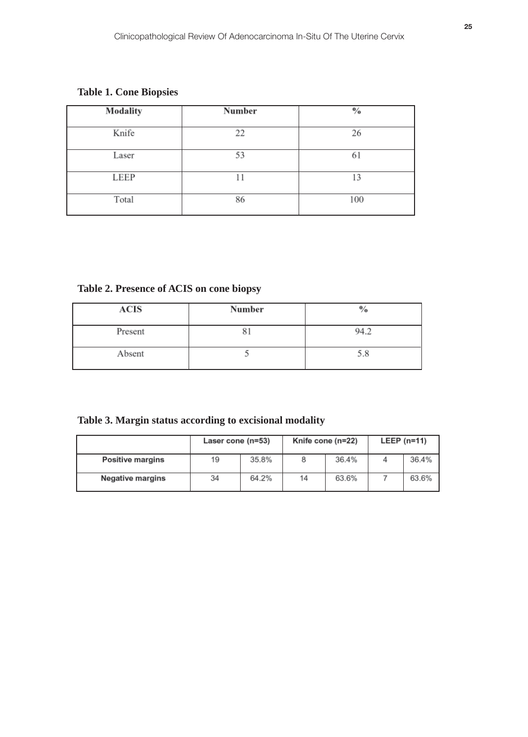# **Table 1. Cone Biopsies**

| Modality | Number | $\frac{0}{2}$ |
|----------|--------|---------------|
| Knife    | 22     | 26            |
| Laser    | 53     | 61            |
| LEEP     |        | 13            |
| Total    | 86     | 100           |

**Table 2. Presence of ACIS on cone biopsy**

| <b>ACIS</b> | Number | $\%$ |
|-------------|--------|------|
| Present     |        | 94.2 |
| Absent      |        | 5.8  |

|  | Table 3. Margin status according to excisional modality |  |  |
|--|---------------------------------------------------------|--|--|
|  |                                                         |  |  |

|                         | Laser cone (n=53) |       | Knife cone (n=22) |       | LEEP $(n=11)$ |       |
|-------------------------|-------------------|-------|-------------------|-------|---------------|-------|
| Positive margins        | 19                | 35.8% |                   | 36.4% |               | 36.4% |
| <b>Negative margins</b> | 34                | 64.2% | 14                | 63.6% |               | 63.6% |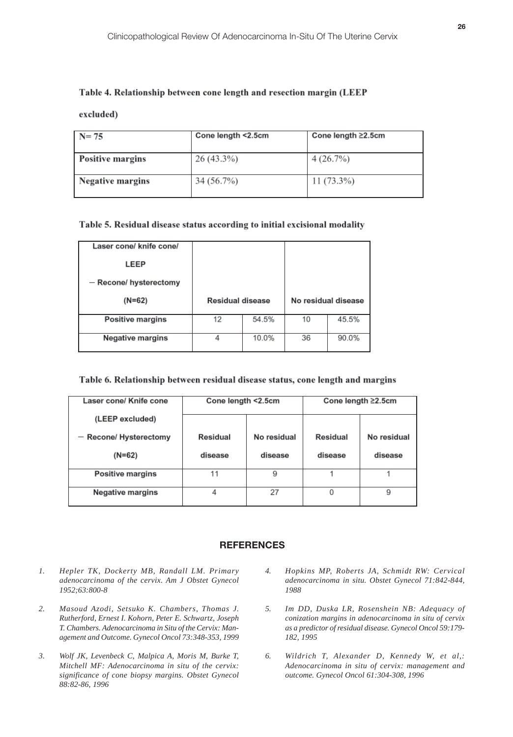### Table 4. Relationship between cone length and resection margin (LEEP

excluded)

| $N = 75$                | Cone length <2.5cm | Cone length ≥2.5cm |  |  |
|-------------------------|--------------------|--------------------|--|--|
|                         |                    |                    |  |  |
| <b>Positive margins</b> | 26 (43.3%)         | 4(26.7%)           |  |  |
|                         |                    |                    |  |  |
| <b>Negative margins</b> | 34 (56.7%)         | $11(73.3\%)$       |  |  |
|                         |                    |                    |  |  |

# Table 5. Residual disease status according to initial excisional modality

| Laser cone/ knife cone/<br>LEEP |                  |       |                     |       |
|---------------------------------|------------------|-------|---------------------|-------|
| - Recone/ hysterectomy          |                  |       |                     |       |
| $(N=62)$                        | Residual disease |       | No residual disease |       |
| <b>Positive margins</b>         | 12               | 54.5% | 10                  | 45.5% |
| Negative margins                |                  | 10.0% | 36                  | 90.0% |

# Table 6. Relationship between residual disease status, cone length and margins

| Laser cone/ Knife cone  | Cone length <2.5cm<br>Cone length ≥2.5cm |         |          |             |  |  |
|-------------------------|------------------------------------------|---------|----------|-------------|--|--|
|                         |                                          |         |          |             |  |  |
| (LEEP excluded)         |                                          |         |          |             |  |  |
| - Recone/ Hysterectomy  | No residual<br>Residual                  |         | Residual | No residual |  |  |
| $(N=62)$                | disease                                  | disease | disease  | disease     |  |  |
| <b>Positive margins</b> | 11                                       | 9       |          |             |  |  |
| Negative margins        | 4                                        | 27      | 0        | 9           |  |  |

#### **REFERENCES**

- *1. Hepler TK, Dockerty MB, Randall LM. Primary adenocarcinoma of the cervix. Am J Obstet Gynecol 1952;63:800-8*
- *2. Masoud Azodi, Setsuko K. Chambers, Thomas J. Rutherford, Ernest I. Kohorn, Peter E. Schwartz, Joseph T. Chambers. Adenocarcinoma in Situ of the Cervix: Management and Outcome. Gynecol Oncol 73:348-353, 1999*
- *3. Wolf JK, Levenbeck C, Malpica A, Moris M, Burke T, Mitchell MF: Adenocarcinoma in situ of the cervix: significance of cone biopsy margins. Obstet Gynecol 88:82-86, 1996*
- *Hopkins MP, Roberts JA, Schmidt RW: Cervical adenocarcinoma in situ. Obstet Gynecol 71:842-844, 1988 4.*
- *Im DD, Duska LR, Rosenshein NB: Adequacy of conization margins in adenocarcinoma in situ of cervix as a predictor of residual disease. Gynecol Oncol 59:179- 182, 1995 5.*
- *Wildrich T, Alexander D, Kennedy W, et al,: Adenocarcinoma in situ of cervix: management and outcome. Gynecol Oncol 61:304-308, 1996 6.*